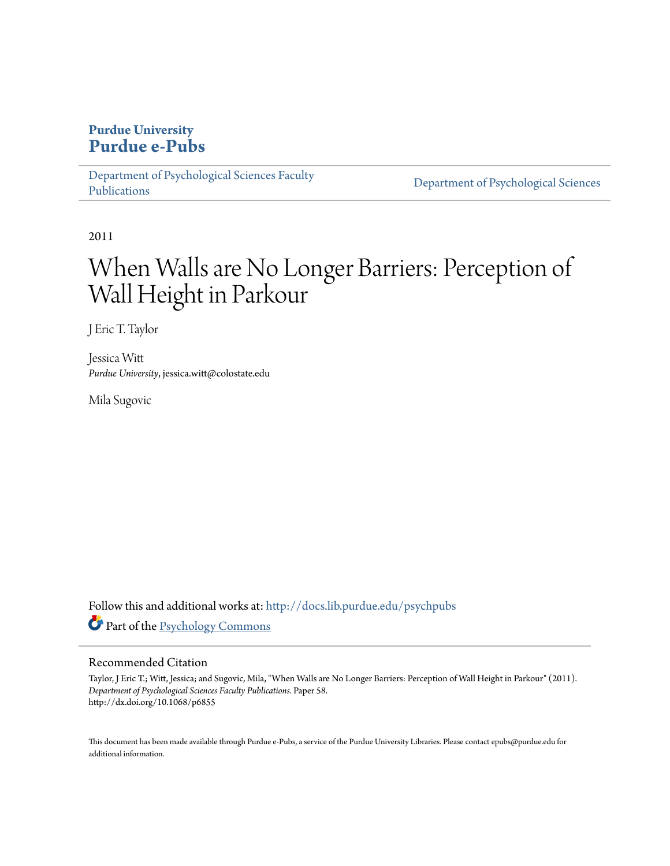## **Purdue University [Purdue e-Pubs](http://docs.lib.purdue.edu?utm_source=docs.lib.purdue.edu%2Fpsychpubs%2F58&utm_medium=PDF&utm_campaign=PDFCoverPages)**

[Department of Psychological Sciences Faculty](http://docs.lib.purdue.edu/psychpubs?utm_source=docs.lib.purdue.edu%2Fpsychpubs%2F58&utm_medium=PDF&utm_campaign=PDFCoverPages) [Publications](http://docs.lib.purdue.edu/psychpubs?utm_source=docs.lib.purdue.edu%2Fpsychpubs%2F58&utm_medium=PDF&utm_campaign=PDFCoverPages)

[Department of Psychological Sciences](http://docs.lib.purdue.edu/psych?utm_source=docs.lib.purdue.edu%2Fpsychpubs%2F58&utm_medium=PDF&utm_campaign=PDFCoverPages)

2011

# When Walls are No Longer Barriers: Perception of Wall Height in Parkour

J Eric T. Taylor

Jessica Witt *Purdue University*, jessica.witt@colostate.edu

Mila Sugovic

Follow this and additional works at: [http://docs.lib.purdue.edu/psychpubs](http://docs.lib.purdue.edu/psychpubs?utm_source=docs.lib.purdue.edu%2Fpsychpubs%2F58&utm_medium=PDF&utm_campaign=PDFCoverPages) Part of the [Psychology Commons](http://network.bepress.com/hgg/discipline/404?utm_source=docs.lib.purdue.edu%2Fpsychpubs%2F58&utm_medium=PDF&utm_campaign=PDFCoverPages)

### Recommended Citation

Taylor, J Eric T.; Witt, Jessica; and Sugovic, Mila, "When Walls are No Longer Barriers: Perception of Wall Height in Parkour" (2011). *Department of Psychological Sciences Faculty Publications.* Paper 58. http://dx.doi.org/10.1068/p6855

This document has been made available through Purdue e-Pubs, a service of the Purdue University Libraries. Please contact epubs@purdue.edu for additional information.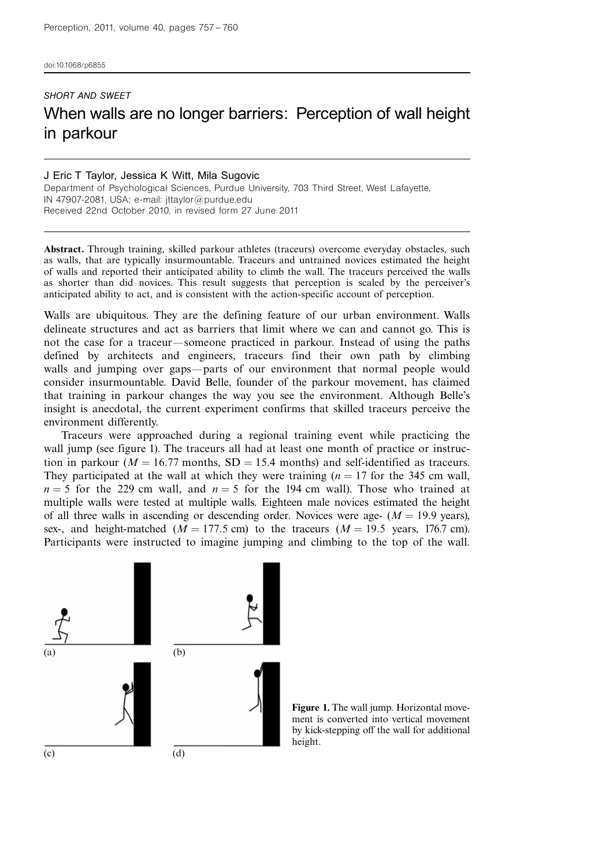doi:10.1068/p6855

## SHORT AND SWEET When walls are no longer barriers: Perception of wall height in parkour

#### J Eric T Taylor, Jessica K Witt, Mila Sugovic Department of Psychological Sciences, Purdue University, 703 Third Street, West Lafayette, IN 47907-2081, USA; e-mail: jttaylor@purdue.edu Received 22nd October 2010, in revised form 27 June 2011

Abstract. Through training, skilled parkour athletes (traceurs) overcome everyday obstacles, such as walls, that are typically insurmountable. Traceurs and untrained novices estimated the height of walls and reported their anticipated ability to climb the wall. The traceurs perceived the walls as shorter than did novices. This result suggests that perception is scaled by the perceiver's anticipated ability to act, and is consistent with the action-specific account of perception.

Walls are ubiquitous. They are the defining feature of our urban environment. Walls delineate structures and act as barriers that limit where we can and cannot go. This is not the case for a traceur—someone practiced in parkour. Instead of using the paths defined by architects and engineers, traceurs find their own path by climbing walls and jumping over gaps-parts of our environment that normal people would consider insurmountable. David Belle, founder of the parkour movement, has claimed that training in parkour changes the way you see the environment. Although Belle's insight is anecdotal, the current experiment confirms that skilled traceurs perceive the environment differently.

Traceurs were approached during a regional training event while practicing the wall jump (see figure 1). The traceurs all had at least one month of practice or instruction in parkour ( $M = 16.77$  months, SD = 15.4 months) and self-identified as traceurs. They participated at the wall at which they were training  $(n = 17$  for the 345 cm wall,  $n = 5$  for the 229 cm wall, and  $n = 5$  for the 194 cm wall). Those who trained at multiple walls were tested at multiple walls. Eighteen male novices estimated the height of all three walls in ascending or descending order. Novices were age-  $(M = 19.9$  years), sex-, and height-matched ( $M = 177.5$  cm) to the traceurs ( $M = 19.5$  years, 176.7 cm). Participants were instructed to imagine jumping and climbing to the top of the wall.



Figure 1. The wall jump. Horizontal movement is converted into vertical movement by kick-stepping off the wall for additional height.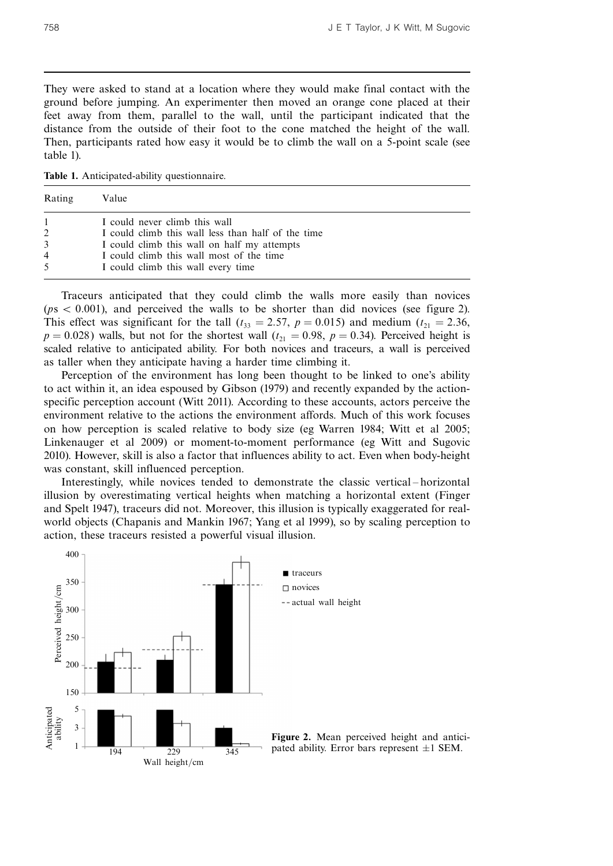They were asked to stand at a location where they would make final contact with the ground before jumping. An experimenter then moved an orange cone placed at their feet away from them, parallel to the wall, until the participant indicated that the distance from the outside of their foot to the cone matched the height of the wall. Then, participants rated how easy it would be to climb the wall on a 5-point scale (see table 1).

Table 1. Anticipated-ability questionnaire.

| Rating                         | Value                                                                                                                                                                                                                |
|--------------------------------|----------------------------------------------------------------------------------------------------------------------------------------------------------------------------------------------------------------------|
| 2<br>3<br>$\overline{4}$<br>.5 | I could never climb this wall<br>I could climb this wall less than half of the time<br>I could climb this wall on half my attempts<br>I could climb this wall most of the time<br>I could climb this wall every time |

Traceurs anticipated that they could climb the walls more easily than novices  $(ps < 0.001)$ , and perceived the walls to be shorter than did novices (see figure 2). This effect was significant for the tall ( $t_{33} = 2.57$ ,  $p = 0.015$ ) and medium ( $t_{21} = 2.36$ ,  $p = 0.028$ ) walls, but not for the shortest wall ( $t_{21} = 0.98$ ,  $p = 0.34$ ). Perceived height is scaled relative to anticipated ability. For both novices and traceurs, a wall is perceived as taller when they anticipate having a harder time climbing it.

Perception of the environment has long been thought to be linked to one's ability to act within it, an idea espoused by Gibson (1979) and recently expanded by the actionspecific perception account (Witt 2011). According to these accounts, actors perceive the environment relative to the actions the environment affords. Much of this work focuses on how perception is scaled relative to body size (eg Warren 1984; Witt et al 2005; Linkenauger et al 2009) or moment-to-moment performance (eg Witt and Sugovic 2010). However, skill is also a factor that influences ability to act. Even when body-height was constant, skill influenced perception.

Interestingly, while novices tended to demonstrate the classic vertical-horizontal illusion by overestimating vertical heights when matching a horizontal extent (Finger and Spelt 1947), traceurs did not. Moreover, this illusion is typically exaggerated for realworld objects (Chapanis and Mankin 1967; Yang et al 1999), so by scaling perception to action, these traceurs resisted a powerful visual illusion.



Figure 2. Mean perceived height and anticipated ability. Error bars represent  $\pm 1$  SEM.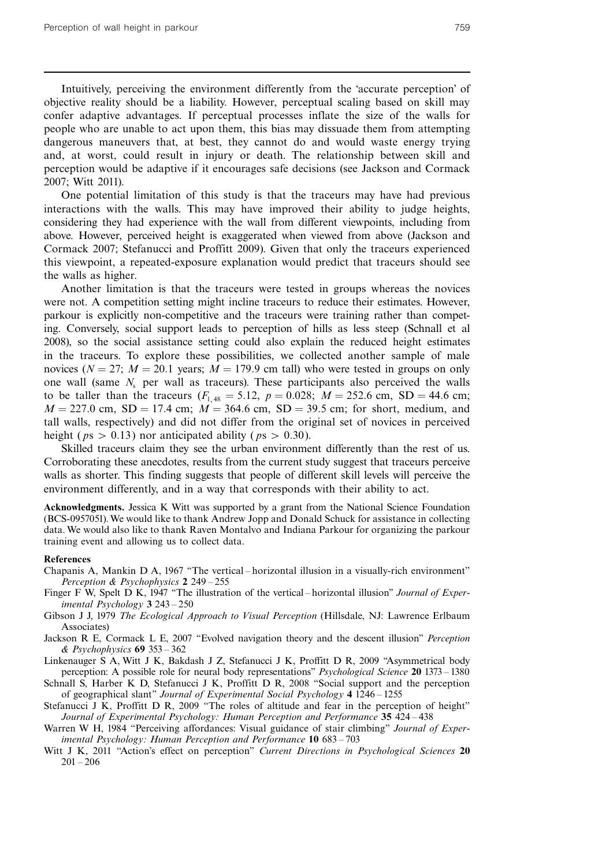Intuitively, perceiving the environment differently from the `accurate perception' of objective reality should be a liability. However, perceptual scaling based on skill may confer adaptive advantages. If perceptual processes inflate the size of the walls for people who are unable to act upon them, this bias may dissuade them from attempting dangerous maneuvers that, at best, they cannot do and would waste energy trying and, at worst, could result in injury or death. The relationship between skill and perception would be adaptive if it encourages safe decisions (see Jackson and Cormack 2007; Witt 2011).

One potential limitation of this study is that the traceurs may have had previous interactions with the walls. This may have improved their ability to judge heights, considering they had experience with the wall from different viewpoints, including from above. However, perceived height is exaggerated when viewed from above (Jackson and Cormack 2007; Stefanucci and Proffitt 2009). Given that only the traceurs experienced this viewpoint, a repeated-exposure explanation would predict that traceurs should see the walls as higher.

Another limitation is that the traceurs were tested in groups whereas the novices were not. A competition setting might incline traceurs to reduce their estimates. However, parkour is explicitly non-competitive and the traceurs were training rather than competing. Conversely, social support leads to perception of hills as less steep (Schnall et al 2008), so the social assistance setting could also explain the reduced height estimates in the traceurs. To explore these possibilities, we collected another sample of male novices ( $N = 27$ ;  $M = 20.1$  years;  $M = 179.9$  cm tall) who were tested in groups on only one wall (same  $N_s$  per wall as traceurs). These participants also perceived the walls to be taller than the traceurs  $(F_{1,48} = 5.12, p = 0.028; M = 252.6 \text{ cm}, SD = 44.6 \text{ cm};$  $M = 227.0$  cm,  $SD = 17.4$  cm;  $M = 364.6$  cm,  $SD = 39.5$  cm; for short, medium, and tall walls, respectively) and did not differ from the original set of novices in perceived height ( $ps > 0.13$ ) nor anticipated ability ( $ps > 0.30$ ).

Skilled traceurs claim they see the urban environment differently than the rest of us. Corroborating these anecdotes, results from the current study suggest that traceurs perceive walls as shorter. This finding suggests that people of different skill levels will perceive the environment differently, and in a way that corresponds with their ability to act.

Acknowledgments. Jessica K Witt was supported by a grant from the National Science Foundation (BCS-0957051).We would like to thank Andrew Jopp and Donald Schuck for assistance in collecting data.We would also like to thank Raven Montalvo and Indiana Parkour for organizing the parkour training event and allowing us to collect data.

#### References

- Chapanis A, Mankin D A, 1967 "The vertical horizontal illusion in a visually-rich environment" Perception & Psychophysics 2 249 - 255
- Finger F W, Spelt D K, 1947 "The illustration of the vertical horizontal illusion" Journal of Experimental Psychology  $3243 - 250$
- Gibson J J, 1979 The Ecological Approach to Visual Perception (Hillsdale, NJ: Lawrence Erlbaum Associates)
- Jackson R E, Cormack L E, 2007 "Evolved navigation theory and the descent illusion" Perception  $&$  Psychophysics 69 353 – 362
- Linkenauger S A, Witt J K, Bakdash J Z, Stefanucci J K, Proffitt D R, 2009 "Asymmetrical body perception: A possible role for neural body representations" *Psychological Science* **20** 1373 – 1380
- Schnall S, Harber K D, Stefanucci J K, Proffitt D R, 2008 "Social support and the perception of geographical slant" Journal of Experimental Social Psychology 4 1246 - 1255
- Stefanucci J K, Proffitt D R, 2009 "The roles of altitude and fear in the perception of height" Journal of Experimental Psychology: Human Perception and Performance 35 424 - 438
- Warren W H, 1984 "Perceiving affordances: Visual guidance of stair climbing" Journal of Experimental Psychology: Human Perception and Performance 10 683 - 703
- Witt J K, 2011 "Action's effect on perception" Current Directions in Psychological Sciences 20  $201 - 206$